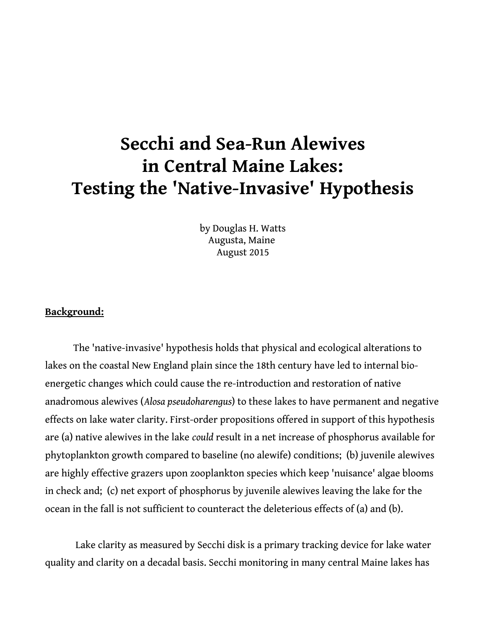# **Secchi and Sea-Run Alewives in Central Maine Lakes: Testing the 'Native-Invasive' Hypothesis**

by Douglas H. Watts Augusta, Maine August 2015

#### **Background:**

The 'native-invasive' hypothesis holds that physical and ecological alterations to lakes on the coastal New England plain since the 18th century have led to internal bioenergetic changes which could cause the re-introduction and restoration of native anadromous alewives (*Alosa pseudoharengus*) to these lakes to have permanent and negative effects on lake water clarity. First-order propositions offered in support of this hypothesis are (a) native alewives in the lake *could* result in a net increase of phosphorus available for phytoplankton growth compared to baseline (no alewife) conditions; (b) juvenile alewives are highly effective grazers upon zooplankton species which keep 'nuisance' algae blooms in check and; (c) net export of phosphorus by juvenile alewives leaving the lake for the ocean in the fall is not sufficient to counteract the deleterious effects of (a) and (b).

 Lake clarity as measured by Secchi disk is a primary tracking device for lake water quality and clarity on a decadal basis. Secchi monitoring in many central Maine lakes has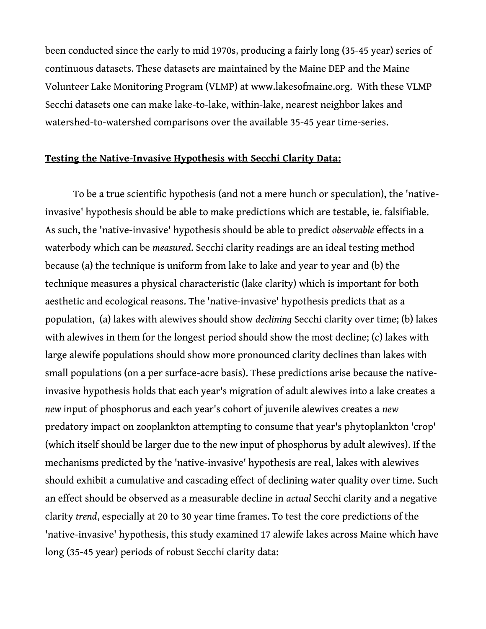been conducted since the early to mid 1970s, producing a fairly long (35-45 year) series of continuous datasets. These datasets are maintained by the Maine DEP and the Maine Volunteer Lake Monitoring Program (VLMP) at www.lakesofmaine.org. With these VLMP Secchi datasets one can make lake-to-lake, within-lake, nearest neighbor lakes and watershed-to-watershed comparisons over the available 35-45 year time-series.

#### **Testing the Native-Invasive Hypothesis with Secchi Clarity Data:**

To be a true scientific hypothesis (and not a mere hunch or speculation), the 'nativeinvasive' hypothesis should be able to make predictions which are testable, ie. falsifiable. As such, the 'native-invasive' hypothesis should be able to predict *observable* effects in a waterbody which can be *measured*. Secchi clarity readings are an ideal testing method because (a) the technique is uniform from lake to lake and year to year and (b) the technique measures a physical characteristic (lake clarity) which is important for both aesthetic and ecological reasons. The 'native-invasive' hypothesis predicts that as a population, (a) lakes with alewives should show *declining* Secchi clarity over time; (b) lakes with alewives in them for the longest period should show the most decline; (c) lakes with large alewife populations should show more pronounced clarity declines than lakes with small populations (on a per surface-acre basis). These predictions arise because the nativeinvasive hypothesis holds that each year's migration of adult alewives into a lake creates a *new* input of phosphorus and each year's cohort of juvenile alewives creates a *new* predatory impact on zooplankton attempting to consume that year's phytoplankton 'crop' (which itself should be larger due to the new input of phosphorus by adult alewives). If the mechanisms predicted by the 'native-invasive' hypothesis are real, lakes with alewives should exhibit a cumulative and cascading effect of declining water quality over time. Such an effect should be observed as a measurable decline in *actual* Secchi clarity and a negative clarity *trend*, especially at 20 to 30 year time frames. To test the core predictions of the 'native-invasive' hypothesis, this study examined 17 alewife lakes across Maine which have long (35-45 year) periods of robust Secchi clarity data: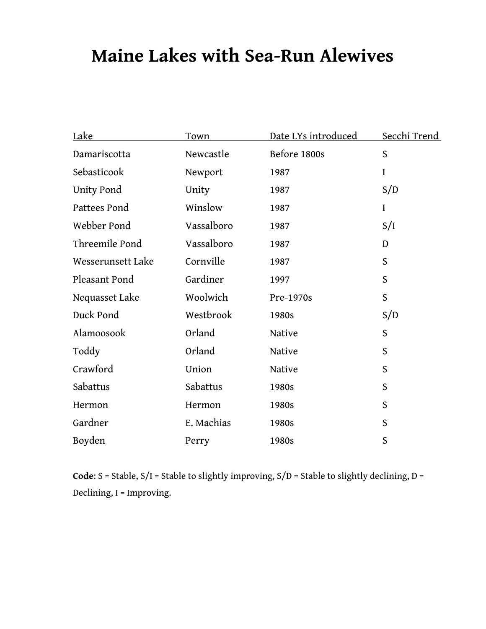## **Maine Lakes with Sea-Run Alewives**

| Lake              | Town       | Date LYs introduced | <u>Secchi Trend</u> |
|-------------------|------------|---------------------|---------------------|
| Damariscotta      | Newcastle  | Before 1800s        | S                   |
| Sebasticook       | Newport    | 1987                | $\rm I$             |
| Unity Pond        | Unity      | 1987                | S/D                 |
| Pattees Pond      | Winslow    | 1987                | $\overline{I}$      |
| Webber Pond       | Vassalboro | 1987                | S/I                 |
| Threemile Pond    | Vassalboro | 1987                | D                   |
| Wesserunsett Lake | Cornville  | 1987                | S                   |
| Pleasant Pond     | Gardiner   | 1997                | S                   |
| Nequasset Lake    | Woolwich   | Pre-1970s           | S                   |
| Duck Pond         | Westbrook  | 1980s               | S/D                 |
| Alamoosook        | Orland     | Native              | S                   |
| Toddy             | Orland     | Native              | S                   |
| Crawford          | Union      | Native              | S                   |
| Sabattus          | Sabattus   | 1980s               | S                   |
| Hermon            | Hermon     | 1980s               | S                   |
| Gardner           | E. Machias | 1980s               | S                   |
| Boyden            | Perry      | 1980s               | S                   |

**Code**: S = Stable, S/I = Stable to slightly improving, S/D = Stable to slightly declining, D = Declining, I = Improving.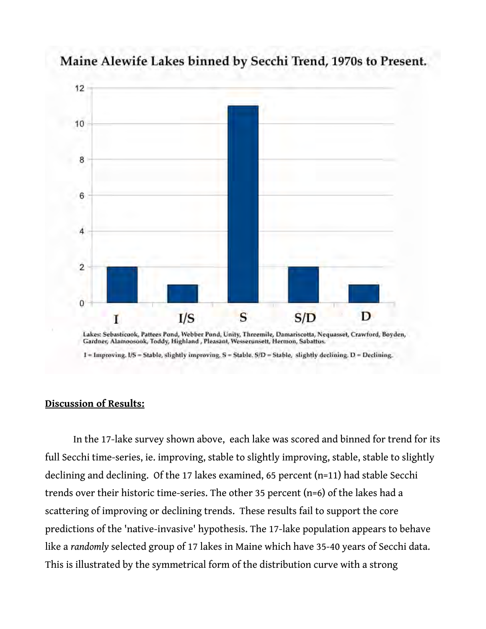

Maine Alewife Lakes binned by Secchi Trend, 1970s to Present.

Gardner, Alamoosook, Toddy, Highland, Pleasant, Wesserunsett, Hermon, Sabattus.

1 = Improving, I/S = Stable, slightly improving, S = Stable, S/D = Stable, slightly declining, D = Declining.

#### **Discussion of Results:**

In the 17-lake survey shown above, each lake was scored and binned for trend for its full Secchi time-series, ie. improving, stable to slightly improving, stable, stable to slightly declining and declining. Of the 17 lakes examined, 65 percent (n=11) had stable Secchi trends over their historic time-series. The other 35 percent (n=6) of the lakes had a scattering of improving or declining trends. These results fail to support the core predictions of the 'native-invasive' hypothesis. The 17-lake population appears to behave like a *randomly* selected group of 17 lakes in Maine which have 35-40 years of Secchi data. This is illustrated by the symmetrical form of the distribution curve with a strong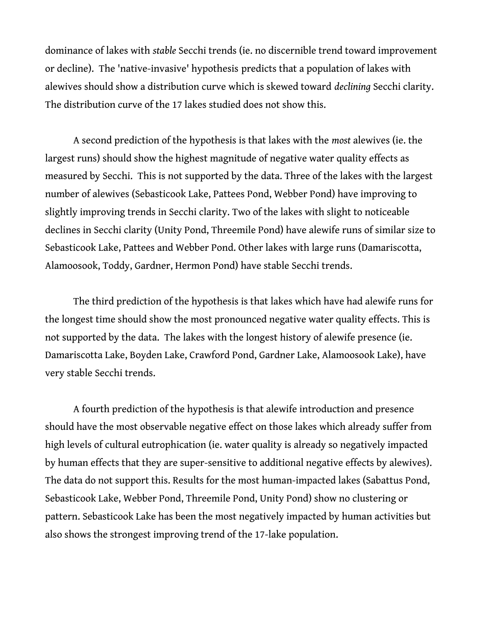dominance of lakes with *stable* Secchi trends (ie. no discernible trend toward improvement or decline). The 'native-invasive' hypothesis predicts that a population of lakes with alewives should show a distribution curve which is skewed toward *declining* Secchi clarity. The distribution curve of the 17 lakes studied does not show this.

A second prediction of the hypothesis is that lakes with the *most* alewives (ie. the largest runs) should show the highest magnitude of negative water quality effects as measured by Secchi. This is not supported by the data. Three of the lakes with the largest number of alewives (Sebasticook Lake, Pattees Pond, Webber Pond) have improving to slightly improving trends in Secchi clarity. Two of the lakes with slight to noticeable declines in Secchi clarity (Unity Pond, Threemile Pond) have alewife runs of similar size to Sebasticook Lake, Pattees and Webber Pond. Other lakes with large runs (Damariscotta, Alamoosook, Toddy, Gardner, Hermon Pond) have stable Secchi trends.

The third prediction of the hypothesis is that lakes which have had alewife runs for the longest time should show the most pronounced negative water quality effects. This is not supported by the data. The lakes with the longest history of alewife presence (ie. Damariscotta Lake, Boyden Lake, Crawford Pond, Gardner Lake, Alamoosook Lake), have very stable Secchi trends.

A fourth prediction of the hypothesis is that alewife introduction and presence should have the most observable negative effect on those lakes which already suffer from high levels of cultural eutrophication (ie. water quality is already so negatively impacted by human effects that they are super-sensitive to additional negative effects by alewives). The data do not support this. Results for the most human-impacted lakes (Sabattus Pond, Sebasticook Lake, Webber Pond, Threemile Pond, Unity Pond) show no clustering or pattern. Sebasticook Lake has been the most negatively impacted by human activities but also shows the strongest improving trend of the 17-lake population.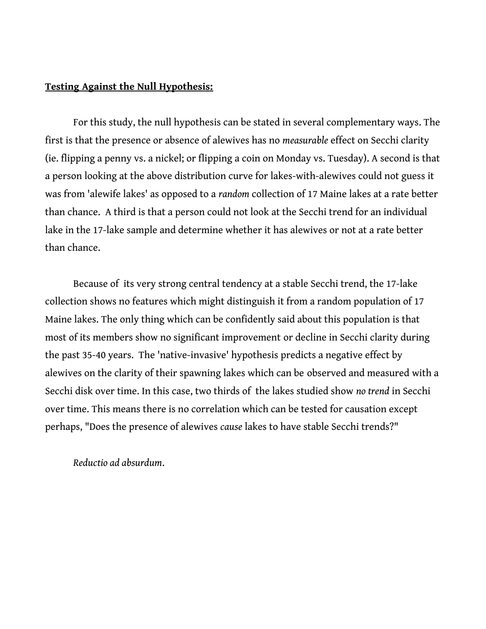#### **Testing Against the Null Hypothesis:**

For this study, the null hypothesis can be stated in several complementary ways. The first is that the presence or absence of alewives has no *measurable* effect on Secchi clarity (ie. flipping a penny vs. a nickel; or flipping a coin on Monday vs. Tuesday). A second is that a person looking at the above distribution curve for lakes-with-alewives could not guess it was from 'alewife lakes' as opposed to a *random* collection of 17 Maine lakes at a rate better than chance. A third is that a person could not look at the Secchi trend for an individual lake in the 17-lake sample and determine whether it has alewives or not at a rate better than chance.

Because of its very strong central tendency at a stable Secchi trend, the 17-lake collection shows no features which might distinguish it from a random population of 17 Maine lakes. The only thing which can be confidently said about this population is that most of its members show no significant improvement or decline in Secchi clarity during the past 35-40 years. The 'native-invasive' hypothesis predicts a negative effect by alewives on the clarity of their spawning lakes which can be observed and measured with a Secchi disk over time. In this case, two thirds of the lakes studied show *no trend* in Secchi over time. This means there is no correlation which can be tested for causation except perhaps, "Does the presence of alewives *cause* lakes to have stable Secchi trends?"

*Reductio ad absurdum*.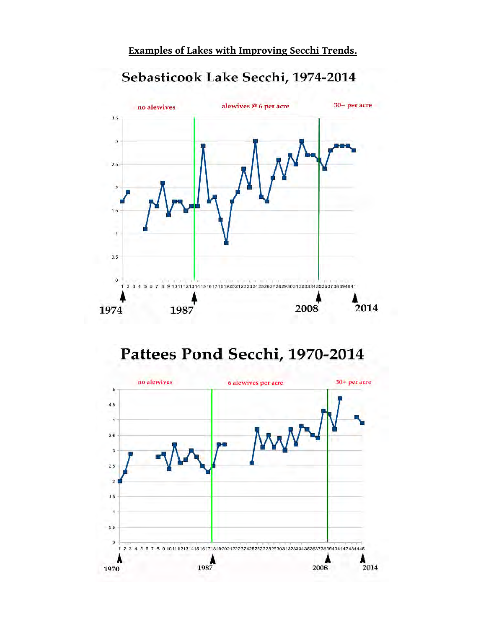#### 30+ per acre alewives @ 6 per acre no alewives  $3.5$  $\bf{3}$ 2.5  $\overline{2}$  $1.5$ j.  $0.5$  $\circ$ 7 8 9 10 11 12 13 14 15 16 17 18 19 20 21 22 23 24 25 26 27 28 29 30 31 32 33 34 35 36 37 38 39 40 41  $\mathbf{1}$  $23$ 5  $6$ 2008 2014 1974 1987

### Sebasticook Lake Secchi, 1974-2014

Pattees Pond Secchi, 1970-2014

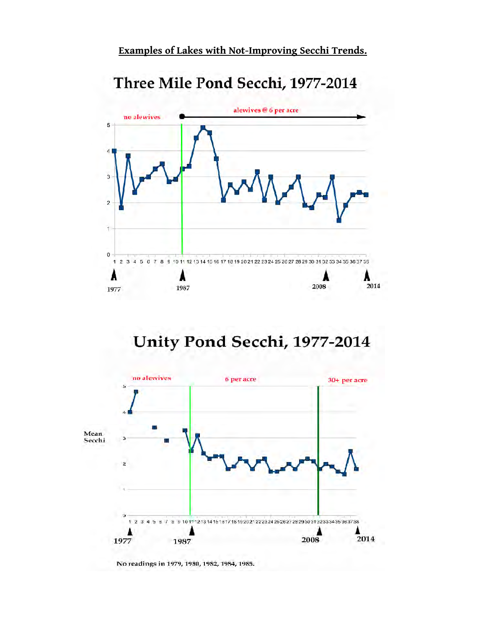**Examples of Lakes with Not-Improving Secchi Trends.**

## Three Mile Pond Secchi, 1977-2014



## Unity Pond Secchi, 1977-2014



No readings in 1979, 1980, 1982, 1984, 1985.